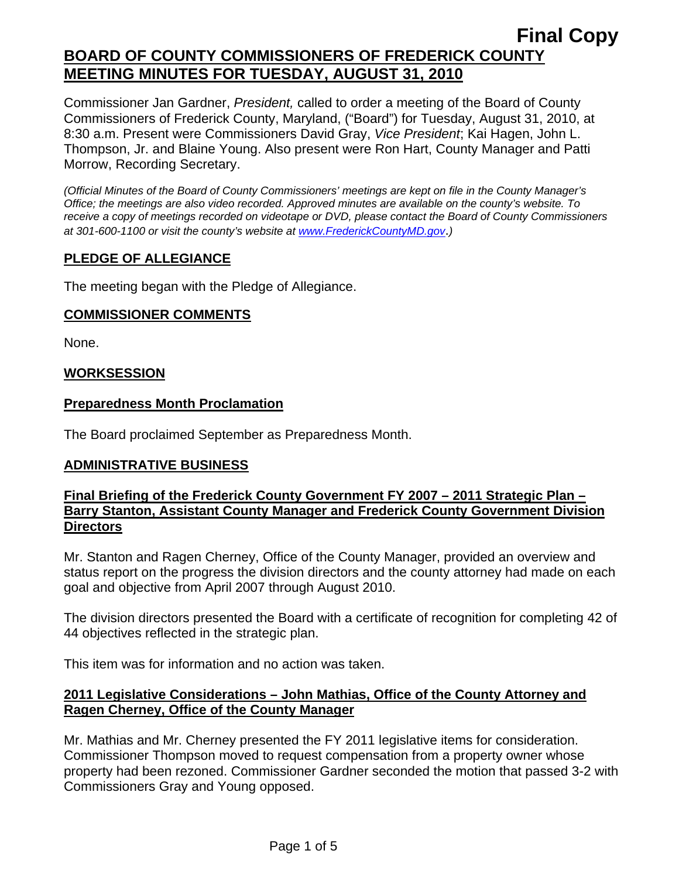Commissioner Jan Gardner, *President,* called to order a meeting of the Board of County Commissioners of Frederick County, Maryland, ("Board") for Tuesday, August 31, 2010, at 8:30 a.m. Present were Commissioners David Gray, *Vice President*; Kai Hagen, John L. Thompson, Jr. and Blaine Young. Also present were Ron Hart, County Manager and Patti Morrow, Recording Secretary.

*(Official Minutes of the Board of County Commissioners' meetings are kept on file in the County Manager's Office; the meetings are also video recorded. Approved minutes are available on the county's website. To receive a copy of meetings recorded on videotape or DVD, please contact the Board of County Commissioners at 301-600-1100 or visit the county's website at [www.FrederickCountyMD.gov](http://www.frederickcountymd.gov/)*.*)* 

## **PLEDGE OF ALLEGIANCE**

The meeting began with the Pledge of Allegiance.

#### **COMMISSIONER COMMENTS**

None.

## **WORKSESSION**

#### **Preparedness Month Proclamation**

The Board proclaimed September as Preparedness Month.

## **ADMINISTRATIVE BUSINESS**

#### **Final Briefing of the Frederick County Government FY 2007 – 2011 Strategic Plan – Barry Stanton, Assistant County Manager and Frederick County Government Division Directors**

Mr. Stanton and Ragen Cherney, Office of the County Manager, provided an overview and status report on the progress the division directors and the county attorney had made on each goal and objective from April 2007 through August 2010.

The division directors presented the Board with a certificate of recognition for completing 42 of 44 objectives reflected in the strategic plan.

This item was for information and no action was taken.

## **2011 Legislative Considerations – John Mathias, Office of the County Attorney and Ragen Cherney, Office of the County Manager**

Mr. Mathias and Mr. Cherney presented the FY 2011 legislative items for consideration. Commissioner Thompson moved to request compensation from a property owner whose property had been rezoned. Commissioner Gardner seconded the motion that passed 3-2 with Commissioners Gray and Young opposed.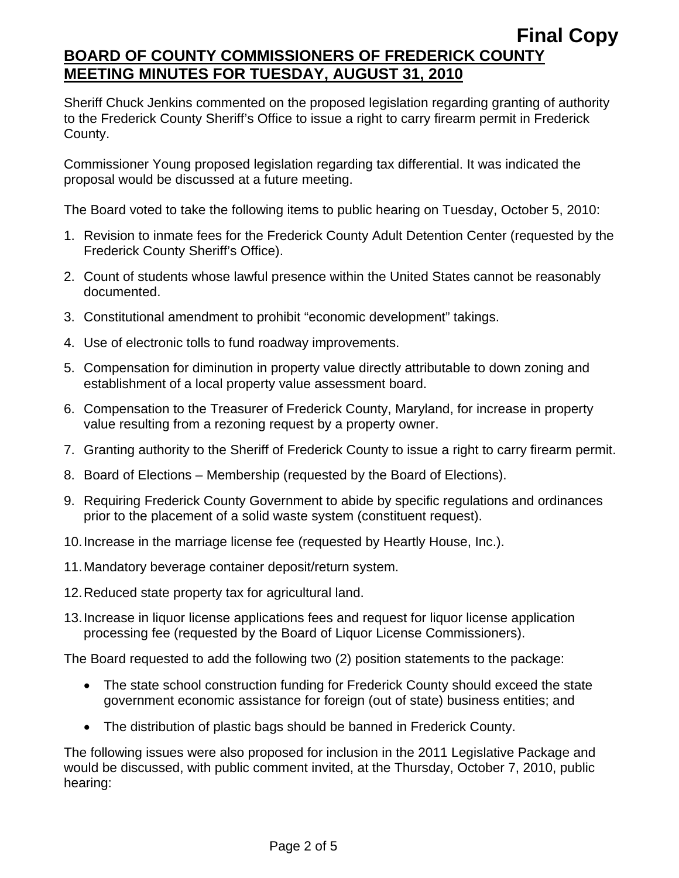Sheriff Chuck Jenkins commented on the proposed legislation regarding granting of authority to the Frederick County Sheriff's Office to issue a right to carry firearm permit in Frederick County.

Commissioner Young proposed legislation regarding tax differential. It was indicated the proposal would be discussed at a future meeting.

The Board voted to take the following items to public hearing on Tuesday, October 5, 2010:

- 1. Revision to inmate fees for the Frederick County Adult Detention Center (requested by the Frederick County Sheriff's Office).
- 2. Count of students whose lawful presence within the United States cannot be reasonably documented.
- 3. Constitutional amendment to prohibit "economic development" takings.
- 4. Use of electronic tolls to fund roadway improvements.
- 5. Compensation for diminution in property value directly attributable to down zoning and establishment of a local property value assessment board.
- 6. Compensation to the Treasurer of Frederick County, Maryland, for increase in property value resulting from a rezoning request by a property owner.
- 7. Granting authority to the Sheriff of Frederick County to issue a right to carry firearm permit.
- 8. Board of Elections Membership (requested by the Board of Elections).
- 9. Requiring Frederick County Government to abide by specific regulations and ordinances prior to the placement of a solid waste system (constituent request).
- 10. Increase in the marriage license fee (requested by Heartly House, Inc.).
- 11. Mandatory beverage container deposit/return system.
- 12. Reduced state property tax for agricultural land.
- 13. Increase in liquor license applications fees and request for liquor license application processing fee (requested by the Board of Liquor License Commissioners).

The Board requested to add the following two (2) position statements to the package:

- The state school construction funding for Frederick County should exceed the state government economic assistance for foreign (out of state) business entities; and
- The distribution of plastic bags should be banned in Frederick County.

The following issues were also proposed for inclusion in the 2011 Legislative Package and would be discussed, with public comment invited, at the Thursday, October 7, 2010, public hearing: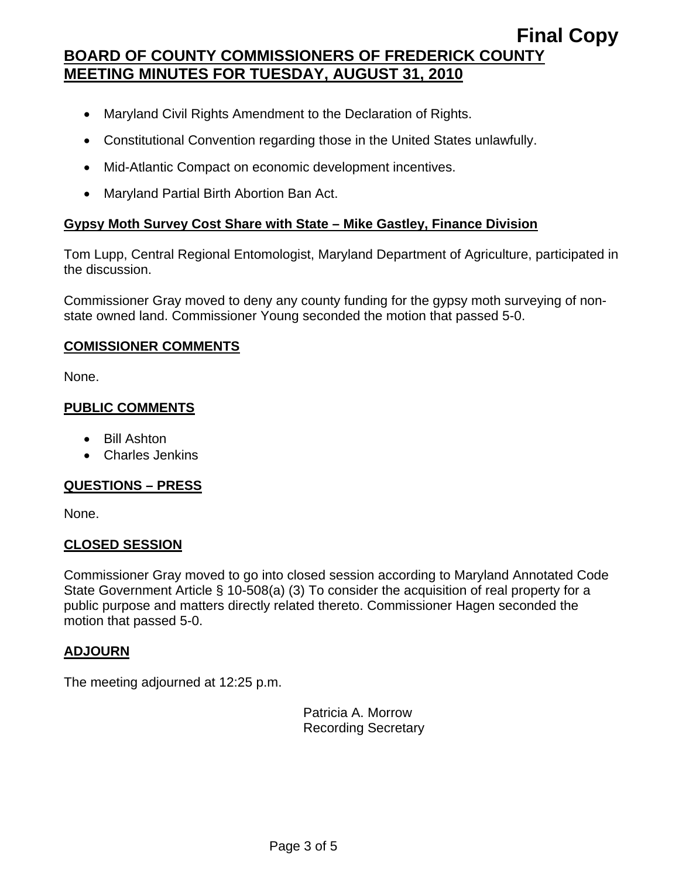- Maryland Civil Rights Amendment to the Declaration of Rights.
- Constitutional Convention regarding those in the United States unlawfully.
- Mid-Atlantic Compact on economic development incentives.
- Maryland Partial Birth Abortion Ban Act.

## **Gypsy Moth Survey Cost Share with State – Mike Gastley, Finance Division**

Tom Lupp, Central Regional Entomologist, Maryland Department of Agriculture, participated in the discussion.

Commissioner Gray moved to deny any county funding for the gypsy moth surveying of nonstate owned land. Commissioner Young seconded the motion that passed 5-0.

## **COMISSIONER COMMENTS**

None.

## **PUBLIC COMMENTS**

- Bill Ashton
- Charles Jenkins

## **QUESTIONS – PRESS**

None.

## **CLOSED SESSION**

Commissioner Gray moved to go into closed session according to Maryland Annotated Code State Government Article § 10-508(a) (3) To consider the acquisition of real property for a public purpose and matters directly related thereto. Commissioner Hagen seconded the motion that passed 5-0.

## **ADJOURN**

The meeting adjourned at 12:25 p.m.

Patricia A. Morrow Recording Secretary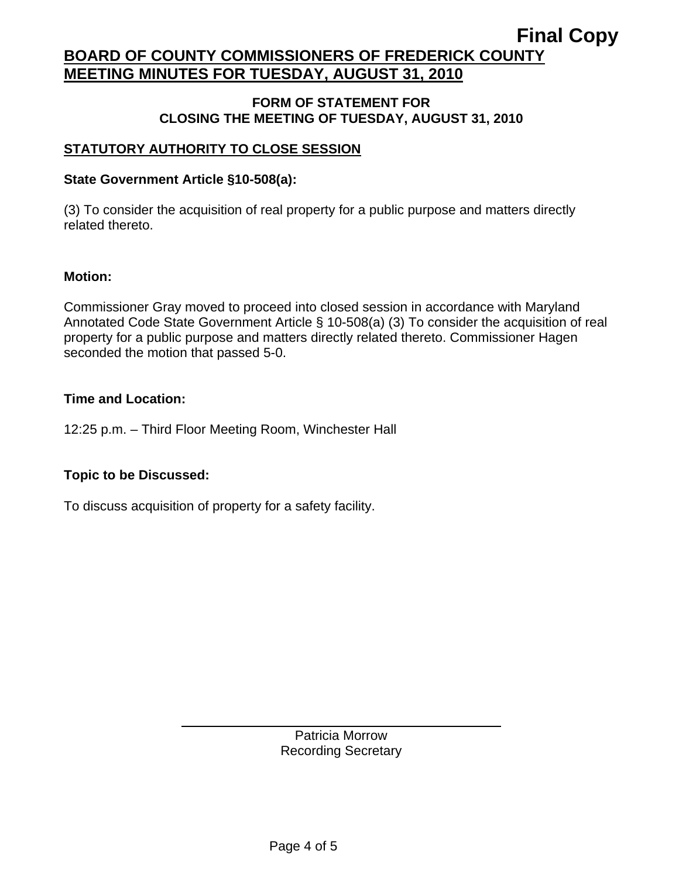#### **FORM OF STATEMENT FOR CLOSING THE MEETING OF TUESDAY, AUGUST 31, 2010**

## **STATUTORY AUTHORITY TO CLOSE SESSION**

## **State Government Article §10-508(a):**

(3) To consider the acquisition of real property for a public purpose and matters directly related thereto.

## **Motion:**

Commissioner Gray moved to proceed into closed session in accordance with Maryland Annotated Code State Government Article § 10-508(a) (3) To consider the acquisition of real property for a public purpose and matters directly related thereto. Commissioner Hagen seconded the motion that passed 5-0.

## **Time and Location:**

12:25 p.m. – Third Floor Meeting Room, Winchester Hall

## **Topic to be Discussed:**

To discuss acquisition of property for a safety facility.

 $\overline{a}$ 

Patricia Morrow Recording Secretary